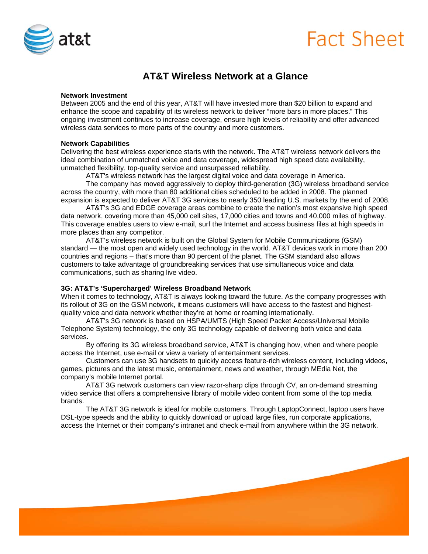# **Fact Sheet**



# **AT&T Wireless Network at a Glance**

### **Network Investment**

Between 2005 and the end of this year, AT&T will have invested more than \$20 billion to expand and enhance the scope and capability of its wireless network to deliver "more bars in more places." This ongoing investment continues to increase coverage, ensure high levels of reliability and offer advanced wireless data services to more parts of the country and more customers.

# **Network Capabilities**

Delivering the best wireless experience starts with the network. The AT&T wireless network delivers the ideal combination of unmatched voice and data coverage, widespread high speed data availability, unmatched flexibility, top-quality service and unsurpassed reliability.

AT&T's wireless network has the largest digital voice and data coverage in America.

 The company has moved aggressively to deploy third-generation (3G) wireless broadband service across the country, with more than 80 additional cities scheduled to be added in 2008. The planned expansion is expected to deliver AT&T 3G services to nearly 350 leading U.S. markets by the end of 2008.

 AT&T's 3G and EDGE coverage areas combine to create the nation's most expansive high speed data network, covering more than 45,000 cell sites, 17,000 cities and towns and 40,000 miles of highway. This coverage enables users to view e-mail, surf the Internet and access business files at high speeds in more places than any competitor.

 AT&T's wireless network is built on the Global System for Mobile Communications (GSM) standard — the most open and widely used technology in the world. AT&T devices work in more than 200 countries and regions – that's more than 90 percent of the planet. The GSM standard also allows customers to take advantage of groundbreaking services that use simultaneous voice and data communications, such as sharing live video.

# **3G: AT&T's 'Supercharged' Wireless Broadband Network**

When it comes to technology, AT&T is always looking toward the future. As the company progresses with its rollout of 3G on the GSM network, it means customers will have access to the fastest and highestquality voice and data network whether they're at home or roaming internationally.

AT&T's 3G network is based on HSPA/UMTS (High Speed Packet Access/Universal Mobile Telephone System) technology, the only 3G technology capable of delivering both voice and data services.

By offering its 3G wireless broadband service, AT&T is changing how, when and where people access the Internet, use e-mail or view a variety of entertainment services.

 Customers can use 3G handsets to quickly access feature-rich wireless content, including videos, games, pictures and the latest music, entertainment, news and weather, through MEdia Net, the company's mobile Internet portal.

 AT&T 3G network customers can view razor-sharp clips through CV, an on-demand streaming video service that offers a comprehensive library of mobile video content from some of the top media brands.

 The AT&T 3G network is ideal for mobile customers. Through LaptopConnect, laptop users have DSL-type speeds and the ability to quickly download or upload large files, run corporate applications, access the Internet or their company's intranet and check e-mail from anywhere within the 3G network.